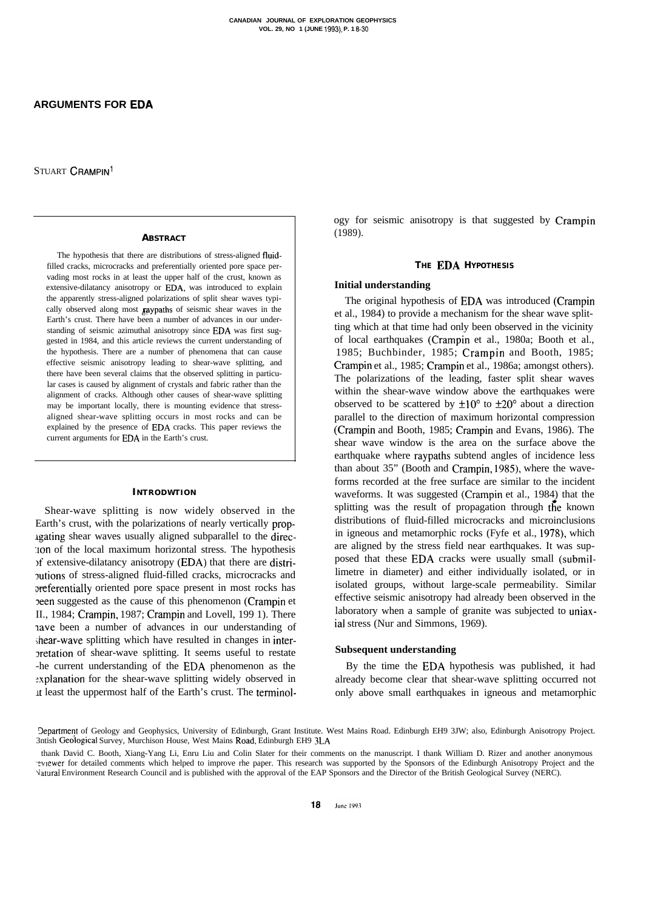STUART **CRAMPIN<sup>1</sup>** 

#### **ABSTRACT**

The hypothesis that there are distributions of stress-aligned fluidfilled cracks, microcracks and preferentially oriented pore space pervading most rocks in at least the upper half of the crust, known as extensive-dilatancy anisotropy or EDA, was introduced to explain the apparently stress-aligned polarizations of split shear waves typically observed along most **gaypaths** of seismic shear waves in the Earth's crust. There have been a number of advances in our understanding of seismic azimuthal anisotropy since EDA was first suggested in 1984, and this article reviews the current understanding of the hypothesis. There are a number of phenomena that can cause effective seismic anisotropy leading to shear-wave splitting, and there have been several claims that the observed splitting in particular cases is caused by alignment of crystals and fabric rather than the alignment of cracks. Although other causes of shear-wave splitting may be important locally, there is mounting evidence that stressaligned shear-wave splitting occurs in most rocks and can be explained by the presence of EDA cracks. This paper reviews the current arguments for EDA in the Earth's crust.

#### **INTRODWTION**

Shear-wave splitting is now widely observed in the Earth's crust, with the polarizations of nearly vertically proplgating shear waves usually aligned subparallel to the direc- :Ion of the local maximum horizontal stress. The hypothesis )f extensive-dilatancy anisotropy (EDA) that there are distri-Tutions of stress-aligned fluid-filled cracks, microcracks and sfeferentially oriented pore space present in most rocks has peen suggested as the cause of this phenomenon (Crampin et II., 1984; Crampin, 1987; Crampin and Lovell, 199 1). There tave been a number of advances in our understanding of shear-wave splitting which have resulted in changes in inter-3retation of shear-wave splitting. It seems useful to restate -he current understanding of the EDA phenomenon as the -xplanation for the shear-wave splitting widely observed in It least the uppermost half of the Earth's crust. The terminology for seismic anisotropy is that suggested by Crampin (1989).

### **THE** EDA **HYPOTHESIS**

#### **Initial understanding**

The original hypothesis of EDA was introduced (Crampin et al., 1984) to provide a mechanism for the shear wave splitting which at that time had only been observed in the vicinity of local earthquakes (Crampin et al., 1980a; Booth et al., 1985; Buchbinder, 1985; Crampin and Booth, 1985; Crampin et al., 1985; Crampin et al., 1986a; amongst others). The polarizations of the leading, faster split shear waves within the shear-wave window above the earthquakes were observed to be scattered by  $\pm 10^{\circ}$  to  $\pm 20^{\circ}$  about a direction parallel to the direction of maximum horizontal compression (Crampin and Booth, 1985; Crampin and Evans, 1986). The shear wave window is the area on the surface above the earthquake where raypaths subtend angles of incidence less than about 35" (Booth and Crampin, 1985), where the waveforms recorded at the free surface are similar to the incident waveforms. It was suggested (Crampin et al., 1984) that the splitting was the result of propagation through the known distributions of fluid-filled microcracks and microinclusions in igneous and metamorphic rocks (Fyfe et al., 1978), which are aligned by the stress field near earthquakes. It was supposed that these EDA cracks were usually small (submillimetre in diameter) and either individually isolated, or in isolated groups, without large-scale permeability. Similar effective seismic anisotropy had already been observed in the laboratory when a sample of granite was subjected to uniaxial stress (Nur and Simmons, 1969).

### **Subsequent understanding**

By the time the EDA hypothesis was published, it had already become clear that shear-wave splitting occurred not only above small earthquakes in igneous and metamorphic

3epartment of Geology and Geophysics, University of Edinburgh, Grant Institute. West Mains Road. Edinburgh EH9 3JW; also, Edinburgh Anisotropy Project. 3ntish Geological Survey, Murchison House, West Mains Road, Edinburgh EH9 3LA

thank David C. Booth, Xiang-Yang Li, Enru Liu and Colin Slater for their comments on the manuscript. I thank William D. Rizer and another anonymous .?vtewer for detailed comments which helped to improve rhe paper. This research was supported by the Sponsors of the Edinburgh Anisotropy Project and the Vatural Environment Research Council and is published with the approval of the EAP Sponsors and the Director of the British Geological Survey (NERC).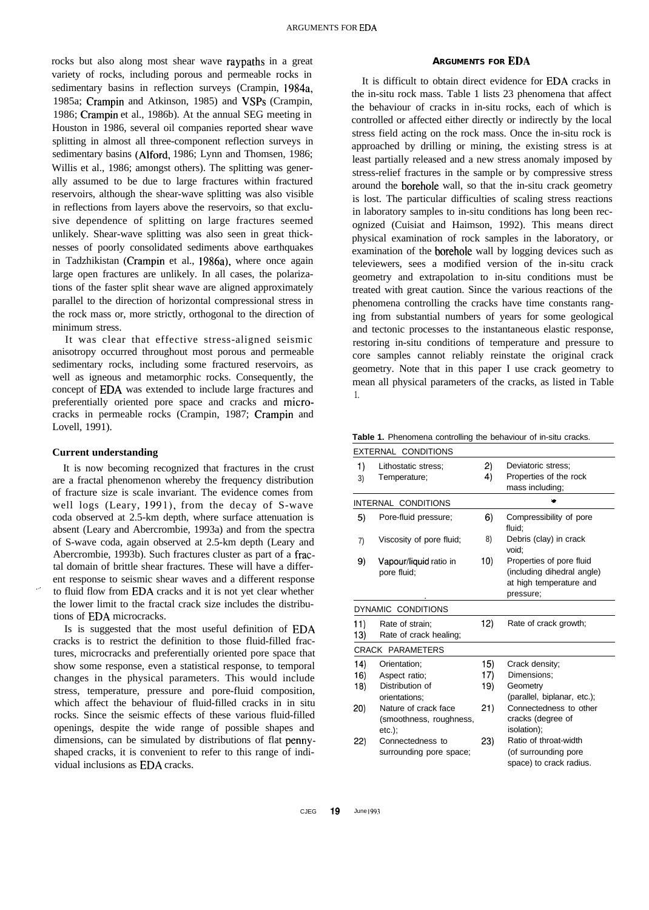rocks but also along most shear wave raypaths in a great variety of rocks, including porous and permeable rocks in sedimentary basins in reflection surveys (Crampin, 1984a, 1985a; Crampin and Atkinson, 1985) and VSPs (Crampin, 1986; Crampin et al., 1986b). At the annual SEG meeting in Houston in 1986, several oil companies reported shear wave splitting in almost all three-component reflection surveys in sedimentary basins (Alford, 1986; Lynn and Thomsen, 1986; Willis et al., 1986; amongst others). The splitting was generally assumed to be due to large fractures within fractured reservoirs, although the shear-wave splitting was also visible in reflections from layers above the reservoirs, so that exclusive dependence of splitting on large fractures seemed unlikely. Shear-wave splitting was also seen in great thicknesses of poorly consolidated sediments above earthquakes in Tadzhikistan (Crampin et al., 1986a), where once again large open fractures are unlikely. In all cases, the polarizations of the faster split shear wave are aligned approximately parallel to the direction of horizontal compressional stress in the rock mass or, more strictly, orthogonal to the direction of minimum stress.

It was clear that effective stress-aligned seismic anisotropy occurred throughout most porous and permeable sedimentary rocks, including some fractured reservoirs, as well as igneous and metamorphic rocks. Consequently, the concept of EDA was extended to include large fractures and preferentially oriented pore space and cracks and microcracks in permeable rocks (Crampin, 1987; Crampin and Lovell, 1991).

### **Current understanding**

It is now becoming recognized that fractures in the crust are a fractal phenomenon whereby the frequency distribution of fracture size is scale invariant. The evidence comes from well logs (Leary, 1991), from the decay of S-wave coda observed at 2.5-km depth, where surface attenuation is absent (Leary and Abercrombie, 1993a) and from the spectra of S-wave coda, again observed at 2.5-km depth (Leary and Abercrombie, 1993b). Such fractures cluster as part of a fractal domain of brittle shear fractures. These will have a different response to seismic shear waves and a different response to fluid flow from EDA cracks and it is not yet clear whether the lower limit to the fractal crack size includes the distributions of EDA microcracks.

Is is suggested that the most useful definition of EDA cracks is to restrict the definition to those fluid-filled fractures, microcracks and preferentially oriented pore space that show some response, even a statistical response, to temporal changes in the physical parameters. This would include stress, temperature, pressure and pore-fluid composition, which affect the behaviour of fluid-filled cracks in in situ rocks. Since the seismic effects of these various fluid-filled openings, despite the wide range of possible shapes and dimensions, can be simulated by distributions of flat pennyshaped cracks, it is convenient to refer to this range of individual inclusions as EDA cracks.

## **ARGUMENTS FOR EDA**

It is difficult to obtain direct evidence for EDA cracks in the in-situ rock mass. Table 1 lists 23 phenomena that affect the behaviour of cracks in in-situ rocks, each of which is controlled or affected either directly or indirectly by the local stress field acting on the rock mass. Once the in-situ rock is approached by drilling or mining, the existing stress is at least partially released and a new stress anomaly imposed by stress-relief fractures in the sample or by compressive stress around the borehole wall, so that the in-situ crack geometry is lost. The particular difficulties of scaling stress reactions in laboratory samples to in-situ conditions has long been recognized (Cuisiat and Haimson, 1992). This means direct physical examination of rock samples in the laboratory, or examination of the borehole wall by logging devices such as televiewers, sees a modified version of the in-situ crack geometry and extrapolation to in-situ conditions must be treated with great caution. Since the various reactions of the phenomena controlling the cracks have time constants ranging from substantial numbers of years for some geological and tectonic processes to the instantaneous elastic response, restoring in-situ conditions of temperature and pressure to core samples cannot reliably reinstate the original crack geometry. Note that in this paper I use crack geometry to mean all physical parameters of the cracks, as listed in Table 1.

| EXTERNAL CONDITIONS |                                                              |     |                                                                                                |  |  |  |
|---------------------|--------------------------------------------------------------|-----|------------------------------------------------------------------------------------------------|--|--|--|
| 1)                  | Lithostatic stress:                                          | 2)  | Deviatoric stress:                                                                             |  |  |  |
| 3)                  | Temperature;                                                 | 4)  | Properties of the rock                                                                         |  |  |  |
|                     |                                                              |     | mass including;                                                                                |  |  |  |
|                     | INTERNAL CONDITIONS                                          |     |                                                                                                |  |  |  |
| 5)                  | Pore-fluid pressure;                                         | 6)  | Compressibility of pore<br>fluid:                                                              |  |  |  |
| 7)                  | Viscosity of pore fluid;                                     | 8)  | Debris (clay) in crack<br>void:                                                                |  |  |  |
| 9)                  | Vapour/liquid ratio in<br>pore fluid;                        | 10) | Properties of pore fluid<br>(including dihedral angle)<br>at high temperature and<br>pressure; |  |  |  |
| DYNAMIC CONDITIONS  |                                                              |     |                                                                                                |  |  |  |
| 11)<br>13)          | Rate of strain:<br>Rate of crack healing;                    | 12) | Rate of crack growth;                                                                          |  |  |  |
| CRACK PARAMETERS    |                                                              |     |                                                                                                |  |  |  |
| 14)                 | Orientation;                                                 | 15) | Crack density;                                                                                 |  |  |  |
| 16)                 | Aspect ratio;                                                | 17) | Dimensions:                                                                                    |  |  |  |
| 18)                 | Distribution of                                              | 19) | Geometry                                                                                       |  |  |  |
|                     | orientations;                                                |     | (parallel, biplanar, etc.);                                                                    |  |  |  |
| 20)                 | Nature of crack face<br>(smoothness, roughness,<br>$etc.$ ); | 21) | Connectedness to other<br>cracks (degree of<br>isolation);                                     |  |  |  |
| 22)                 | Connectedness to<br>surrounding pore space;                  | 23) | Ratio of throat-width<br>(of surrounding pore<br>space) to crack radius.                       |  |  |  |

| Table 1. Phenomena controlling the behaviour of in-situ cracks. |  |  |  |  |
|-----------------------------------------------------------------|--|--|--|--|
|                                                                 |  |  |  |  |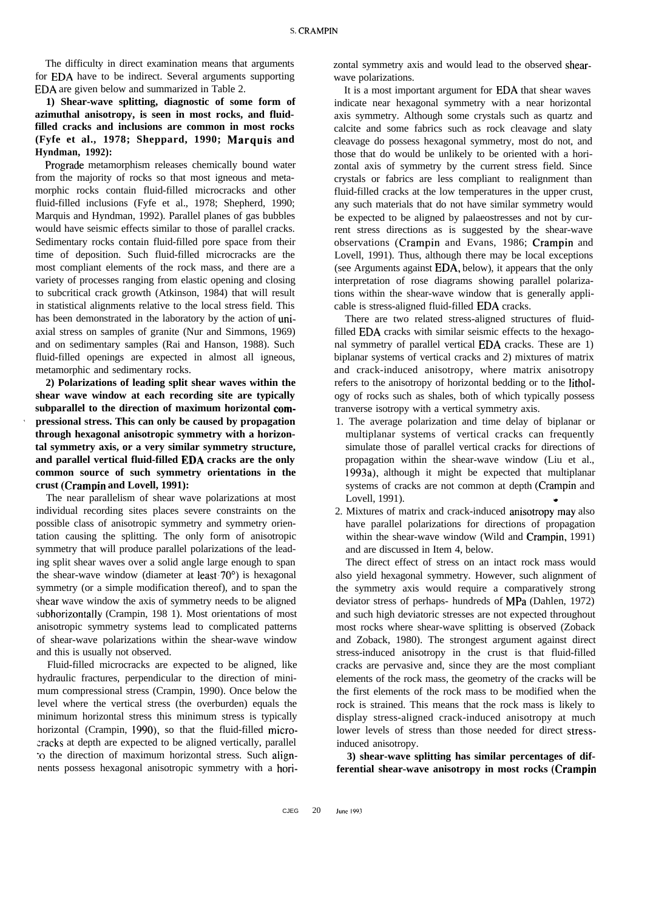The difficulty in direct examination means that arguments for EDA have to be indirect. Several arguments supporting EDA are given below and summarized in Table 2.

## **1) Shear-wave splitting, diagnostic of some form of azimuthal anisotropy, is seen in most rocks, and fluidfilled cracks and inclusions are common in most rocks (Fyfe et al., 1978; Sheppard, 1990; IMarquis and Hyndman, 1992):**

Prograde metamorphism releases chemically bound water from the majority of rocks so that most igneous and metamorphic rocks contain fluid-filled microcracks and other fluid-filled inclusions (Fyfe et al., 1978; Shepherd, 1990; Marquis and Hyndman, 1992). Parallel planes of gas bubbles would have seismic effects similar to those of parallel cracks. Sedimentary rocks contain fluid-filled pore space from their time of deposition. Such fluid-filled microcracks are the most compliant elements of the rock mass, and there are a variety of processes ranging from elastic opening and closing to subcritical crack growth (Atkinson, 1984) that will result in statistical alignments relative to the local stress field. This has been demonstrated in the laboratory by the action of uniaxial stress on samples of granite (Nur and Simmons, 1969) and on sedimentary samples (Rai and Hanson, 1988). Such fluid-filled openings are expected in almost all igneous, metamorphic and sedimentary rocks.

**2) Polarizations of leading split shear waves within the shear wave window at each recording site are typically subparallel to the direction of maximum horizontal com-<sup>0</sup> pressional stress. This can only be caused by propagation through hexagonal anisotropic symmetry with a horizontal symmetry axis, or a very similar symmetry structure, and parallel vertical fluid-filled EDA cracks are the only common source of such symmetry orientations in the crust (Crampin and Lovell, 1991):**

The near parallelism of shear wave polarizations at most individual recording sites places severe constraints on the possible class of anisotropic symmetry and symmetry orientation causing the splitting. The only form of anisotropic symmetry that will produce parallel polarizations of the leading split shear waves over a solid angle large enough to span the shear-wave window (diameter at least  $70^{\circ}$ ) is hexagonal symmetry (or a simple modification thereof), and to span the shear wave window the axis of symmetry needs to be aligned subhorizontally (Crampin, 198 1). Most orientations of most anisotropic symmetry systems lead to complicated patterns of shear-wave polarizations within the shear-wave window and this is usually not observed.

Fluid-filled microcracks are expected to be aligned, like hydraulic fractures, perpendicular to the direction of minimum compressional stress (Crampin, 1990). Once below the level where the vertical stress (the overburden) equals the minimum horizontal stress this minimum stress is typically horizontal (Crampin, 1990), so that the fluid-filled microzracks at depth are expected to be aligned vertically, parallel \*o the direction of maximum horizontal stress. Such alignnents possess hexagonal anisotropic symmetry with a horizontal symmetry axis and would lead to the observed shearwave polarizations.

It is a most important argument for EDA that shear waves indicate near hexagonal symmetry with a near horizontal axis symmetry. Although some crystals such as quartz and calcite and some fabrics such as rock cleavage and slaty cleavage do possess hexagonal symmetry, most do not, and those that do would be unlikely to be oriented with a horizontal axis of symmetry by the current stress field. Since crystals or fabrics are less compliant to realignment than fluid-filled cracks at the low temperatures in the upper crust, any such materials that do not have similar symmetry would be expected to be aligned by palaeostresses and not by current stress directions as is suggested by the shear-wave observations (Crampin and Evans, 1986; Crampin and Lovell, 1991). Thus, although there may be local exceptions (see Arguments against EDA, below), it appears that the only interpretation of rose diagrams showing parallel polarizations within the shear-wave window that is generally applicable is stress-aligned fluid-filled EDA cracks.

There are two related stress-aligned structures of fluidfilled EDA cracks with similar seismic effects to the hexagonal symmetry of parallel vertical EDA cracks. These are 1) biplanar systems of vertical cracks and 2) mixtures of matrix and crack-induced anisotropy, where matrix anisotropy refers to the anisotropy of horizontal bedding or to the lithology of rocks such as shales, both of which typically possess tranverse isotropy with a vertical symmetry axis.

- 1. The average polarization and time delay of biplanar or multiplanar systems of vertical cracks can frequently simulate those of parallel vertical cracks for directions of propagation within the shear-wave window (Liu et al., 1993a), although it might be expected that multiplanar systems of cracks are not common at depth (Crampin and Lovell, 1991).
- 2. Mixtures of matrix and crack-induced anisotropy\*may also have parallel polarizations for directions of propagation within the shear-wave window (Wild and Crampin, 1991) and are discussed in Item 4, below.

The direct effect of stress on an intact rock mass would also yield hexagonal symmetry. However, such alignment of the symmetry axis would require a comparatively strong deviator stress of perhaps- hundreds of MPa (Dahlen, 1972) and such high deviatoric stresses are not expected throughout most rocks where shear-wave splitting is observed (Zoback and Zoback, 1980). The strongest argument against direct stress-induced anisotropy in the crust is that fluid-filled cracks are pervasive and, since they are the most compliant elements of the rock mass, the geometry of the cracks will be the first elements of the rock mass to be modified when the rock is strained. This means that the rock mass is likely to display stress-aligned crack-induced anisotropy at much lower levels of stress than those needed for direct stressinduced anisotropy.

**3) shear-wave splitting has similar percentages of differential shear-wave anisotropy in most rocks (Crampin**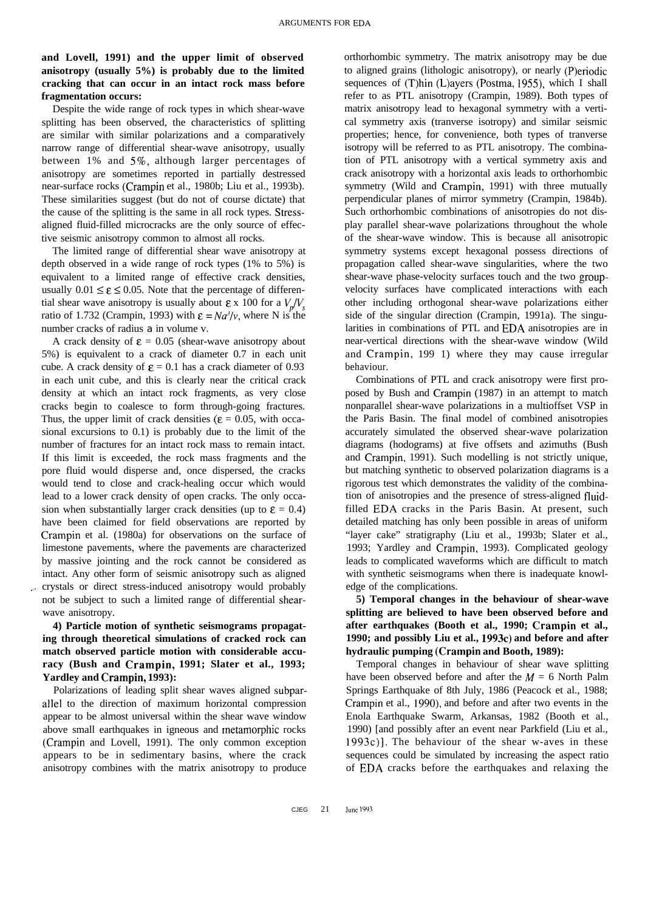# **and Lovell, 1991) and the upper limit of observed anisotropy (usually 5%) is probably due to the limited cracking that can occur in an intact rock mass before fragmentation occurs:**

Despite the wide range of rock types in which shear-wave splitting has been observed, the characteristics of splitting are similar with similar polarizations and a comparatively narrow range of differential shear-wave anisotropy, usually between 1% and 5%, although larger percentages of anisotropy are sometimes reported in partially destressed near-surface rocks (Crampin et al., 1980b; Liu et al., 1993b). These similarities suggest (but do not of course dictate) that the cause of the splitting is the same in all rock types. Stressaligned fluid-filled microcracks are the only source of effective seismic anisotropy common to almost all rocks.

The limited range of differential shear wave anisotropy at depth observed in a wide range of rock types (1% to 5%) is equivalent to a limited range of effective crack densities, usually  $0.01 \le \varepsilon \le 0.05$ . Note that the percentage of differential shear wave anisotropy is usually about  $\epsilon \times 100$  for a  $V_{\alpha}/V_{\beta}$ ratio of 1.732 (Crampin, 1993) with  $\varepsilon = Na<sup>3</sup>/v$ , where N is the number cracks of radius *a* in volume v.

A crack density of  $\varepsilon = 0.05$  (shear-wave anisotropy about 5%) is equivalent to a crack of diameter 0.7 in each unit cube. A crack density of  $\epsilon = 0.1$  has a crack diameter of 0.93 in each unit cube, and this is clearly near the critical crack density at which an intact rock fragments, as very close cracks begin to coalesce to form through-going fractures. Thus, the upper limit of crack densities ( $\epsilon = 0.05$ , with occasional excursions to 0.1) is probably due to the limit of the number of fractures for an intact rock mass to remain intact. If this limit is exceeded, the rock mass fragments and the pore fluid would disperse and, once dispersed, the cracks would tend to close and crack-healing occur which would lead to a lower crack density of open cracks. The only occasion when substantially larger crack densities (up to  $\epsilon = 0.4$ ) have been claimed for field observations are reported by Crampin et al. (1980a) for observations on the surface of limestone pavements, where the pavements are characterized by massive jointing and the rock cannot be considered as intact. Any other form of seismic anisotropy such as aligned crystals or direct stress-induced anisotropy would probably not be subject to such a limited range of differential shearwave anisotropy.

**4) Particle motion of synthetic seismograms propagating through theoretical simulations of cracked rock can match observed particle motion with considerable accuracy (Bush and Crampin, 1991; Slater et al., 1993; Yardley and Crampin, 1993):**

Polarizations of leading split shear waves aligned subparallel to the direction of maximum horizontal compression appear to be almost universal within the shear wave window above small earthquakes in igneous and metamorphic rocks (Crampin and Lovell, 1991). The only common exception appears to be in sedimentary basins, where the crack anisotropy combines with the matrix anisotropy to produce

orthorhombic symmetry. The matrix anisotropy may be due to aligned grains (lithologic anisotropy), or nearly (P)eriodic sequences of (T)hin (L)ayers (Postma, 1955), which I shall refer to as PTL anisotropy (Crampin, 1989). Both types of matrix anisotropy lead to hexagonal symmetry with a vertical symmetry axis (tranverse isotropy) and similar seismic properties; hence, for convenience, both types of tranverse isotropy will be referred to as PTL anisotropy. The combination of PTL anisotropy with a vertical symmetry axis and crack anisotropy with a horizontal axis leads to orthorhombic symmetry (Wild and Crampin, 1991) with three mutually perpendicular planes of mirror symmetry (Crampin, 1984b). Such orthorhombic combinations of anisotropies do not display parallel shear-wave polarizations throughout the whole of the shear-wave window. This is because all anisotropic symmetry systems except hexagonal possess directions of propagation called shear-wave singularities, where the two shear-wave phase-velocity surfaces touch and the two groupvelocity surfaces have complicated interactions with each other including orthogonal shear-wave polarizations either side of the singular direction (Crampin, 1991a). The singularities in combinations of PTL and EDA anisotropies are in near-vertical directions with the shear-wave window (Wild and Crampin, 199 1) where they may cause irregular behaviour.

Combinations of PTL and crack anisotropy were first proposed by Bush and Crampin (1987) in an attempt to match nonparallel shear-wave polarizations in a multioffset VSP in the Paris Basin. The final model of combined anisotropies accurately simulated the observed shear-wave polarization diagrams (hodograms) at five offsets and azimuths (Bush and Crampin, 1991). Such modelling is not strictly unique, but matching synthetic to observed polarization diagrams is a rigorous test which demonstrates the validity of the combination of anisotropies and the presence of stress-aligned fluidfilled EDA cracks in the Paris Basin. At present, such detailed matching has only been possible in areas of uniform "layer cake" stratigraphy (Liu et al., 1993b; Slater et al., 1993; Yardley and Crampin, 1993). Complicated geology leads to complicated waveforms which are difficult to match with synthetic seismograms when there is inadequate knowledge of the complications.

**5) Temporal changes in the behaviour of shear-wave splitting are believed to have been observed before and after earthquakes (Booth et al., 1990; Crampin et al.,** 1990; and possibly Liu et al., 1993c) and before and after **hydraulic pumping (Crampin and Booth, 1989):**

Temporal changes in behaviour of shear wave splitting have been observed before and after the  $M = 6$  North Palm Springs Earthquake of 8th July, 1986 (Peacock et al., 1988; Crampin et al., 1990), and before and after two events in the Enola Earthquake Swarm, Arkansas, 1982 (Booth et al., 1990) [and possibly after an event near Parkfield (Liu et al.,  $1993c$ ). The behaviour of the shear w-aves in these sequences could be simulated by increasing the aspect ratio of EDA cracks before the earthquakes and relaxing the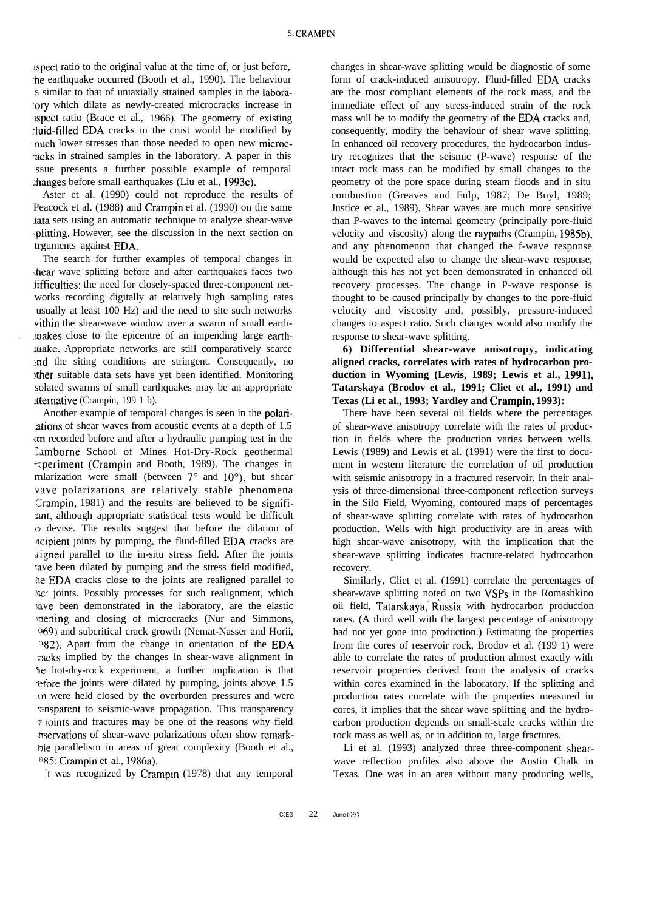aspect ratio to the original value at the time of, or just before, :he earthquake occurred (Booth et al., 1990). The behaviour s similar to that of uniaxially strained samples in the labora- :ory which dilate as newly-created microcracks increase in  $\Delta$  is pect ratio (Brace et al., 1966). The geometry of existing rluid-filled EDA cracks in the crust would be modified by nuch lower stresses than those needed to open new microcacks in strained samples in the laboratory. A paper in this ssue presents a further possible example of temporal changes before small earthquakes (Liu et al., 1993c).

Aster et al. (1990) could not reproduce the results of Peacock et al. (1988) and Crampin et al. (1990) on the same fata sets using an automatic technique to analyze shear-wave ,plitting. However, see the discussion in the next section on trguments against EDA.

The search for further examples of temporal changes in \hear wave splitting before and after earthquakes faces two difficulties: the need for closely-spaced three-component networks recording digitally at relatively high sampling rates usually at least 100 Hz) and the need to site such networks vithin the shear-wave window over a swarm of small earth- . Luakes close to the epicentre of an impending large earthluake. Appropriate networks are still comparatively scarce ind the siting conditions are stringent. Consequently, no Ifher suitable data sets have yet been identified. Monitoring solated swarms of small earthquakes may be an appropriate alternative (Crampin, 199 1 b).

Another example of temporal changes is seen in the polari- :ations of shear waves from acoustic events at a depth of 1.5 cm recorded before and after a hydraulic pumping test in the Lamborne School of Mines Hot-Dry-Rock geothermal 2periment (Crampin and Booth, 1989). The changes in rnlarization were small (between  $7^\circ$  and  $10^\circ$ ), but shear vave polarizations are relatively stable phenomena Crampin, 1981) and the results are believed to be signifi- :ant, although appropriate statistical tests would be difficult 0 devise. The results suggest that before the dilation of ncipient joints by pumping, the fluid-filled EDA cracks are Iligned parallel to the in-situ stress field. After the joints rave been dilated by pumping and the stress field modified, the EDA cracks close to the joints are realigned parallel to the joints. Possibly processes for such realignment, which lave been demonstrated in the laboratory, are the elastic battering and closing of microcracks (Nur and Simmons, 069) and subcritical crack growth (Nemat-Nasser and Horii,  $082$ ). Apart from the change in orientation of the EDA racks implied by the changes in shear-wave alignment in The hot-dry-rock experiment, a further implication is that efore the joints were dilated by pumping, joints above 1.5 pn were held closed by the overburden pressures and were masparent to seismic-wave propagation. This transparency  $\sigma$  joints and fractures may be one of the reasons why field mservations of shear-wave polarizations often show remarktile parallelism in areas of great complexity (Booth et al.,  $0.85$ : Crampin et al., 1986a).

:t was recognized by Crampin (1978) that any temporal

changes in shear-wave splitting would be diagnostic of some form of crack-induced anisotropy. Fluid-filled EDA cracks are the most compliant elements of the rock mass, and the immediate effect of any stress-induced strain of the rock mass will be to modify the geometry of the EDA cracks and, consequently, modify the behaviour of shear wave splitting. In enhanced oil recovery procedures, the hydrocarbon industry recognizes that the seismic (P-wave) response of the intact rock mass can be modified by small changes to the geometry of the pore space during steam floods and in situ combustion (Greaves and Fulp, 1987; De Buyl, 1989; Justice et al., 1989). Shear waves are much more sensitive than P-waves to the internal geometry (principally pore-fluid velocity and viscosity) along the raypaths (Crampin, 1985b), and any phenomenon that changed the f-wave response would be expected also to change the shear-wave response, although this has not yet been demonstrated in enhanced oil recovery processes. The change in P-wave response is thought to be caused principally by changes to the pore-fluid velocity and viscosity and, possibly, pressure-induced changes to aspect ratio. Such changes would also modify the response to shear-wave splitting.

**6) Differential shear-wave anisotropy, indicating aligned cracks, correlates with rates of hydrocarbon production in Wyoming (Lewis, 1989; Lewis et al., 1991), Tatarskaya (Brodov et al., 1991; Cliet et al., 1991) and Texas (Li et al., 1993; Yardley and Crampin, 1993):**

There have been several oil fields where the percentages of shear-wave anisotropy correlate with the rates of production in fields where the production varies between wells. Lewis (1989) and Lewis et al. (1991) were the first to document in western literature the correlation of oil production with seismic anisotropy in a fractured reservoir. In their analysis of three-dimensional three-component reflection surveys in the Silo Field, Wyoming, contoured maps of percentages of shear-wave splitting correlate with rates of hydrocarbon production. Wells with high productivity are in areas with high shear-wave anisotropy, with the implication that the shear-wave splitting indicates fracture-related hydrocarbon recovery.

Similarly, Cliet et al. (1991) correlate the percentages of shear-wave splitting noted on two VSPs in the Romashkino oil field, Tatarskaya,"Russia with hydrocarbon production rates. (A third well with the largest percentage of anisotropy had not yet gone into production.) Estimating the properties from the cores of reservoir rock, Brodov et al. (199 1) were able to correlate the rates of production almost exactly with reservoir properties derived from the analysis of cracks within cores examined in the laboratory. If the splitting and production rates correlate with the properties measured in cores, it implies that the shear wave splitting and the hydrocarbon production depends on small-scale cracks within the rock mass as well as, or in addition to, large fractures.

Li et al. (1993) analyzed three three-component shearwave reflection profiles also above the Austin Chalk in Texas. One was in an area without many producing wells,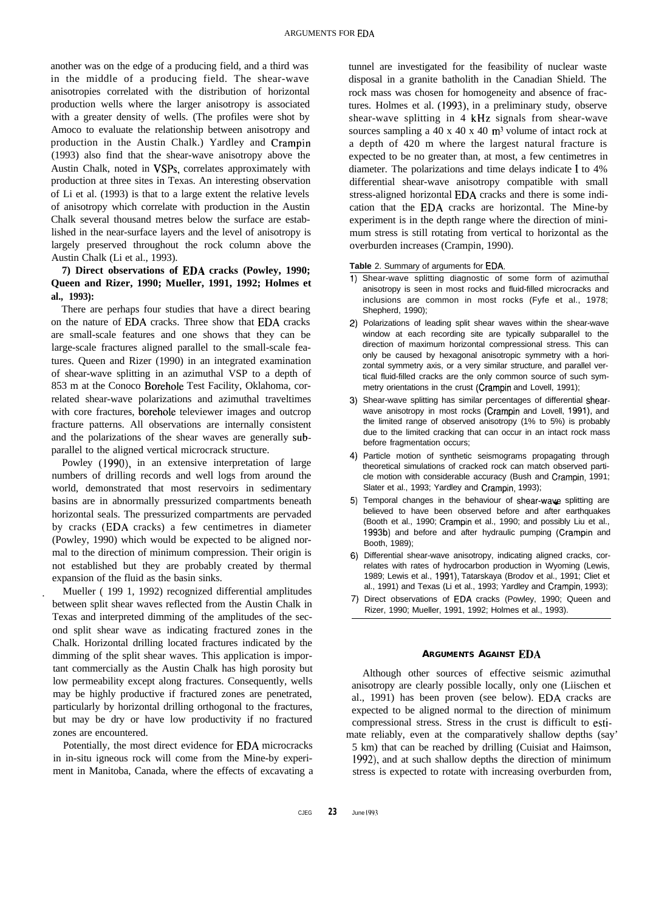another was on the edge of a producing field, and a third was in the middle of a producing field. The shear-wave anisotropies correlated with the distribution of horizontal production wells where the larger anisotropy is associated with a greater density of wells. (The profiles were shot by Amoco to evaluate the relationship between anisotropy and production in the Austin Chalk.) Yardley and Crampin (1993) also find that the shear-wave anisotropy above the Austin Chalk, noted in VSPs, correlates approximately with production at three sites in Texas. An interesting observation of Li et al. (1993) is that to a large extent the relative levels of anisotropy which correlate with production in the Austin Chalk several thousand metres below the surface are established in the near-surface layers and the level of anisotropy is largely preserved throughout the rock column above the Austin Chalk (Li et al., 1993).

# **7) Direct observations of EDA cracks (Powley, 1990; Queen and Rizer, 1990; Mueller, 1991, 1992; Holmes et al., 1993):**

There are perhaps four studies that have a direct bearing on the nature of EDA cracks. Three show that EDA cracks are small-scale features and one shows that they can be large-scale fractures aligned parallel to the small-scale features. Queen and Rizer (1990) in an integrated examination of shear-wave splitting in an azimuthal VSP to a depth of 853 m at the Conoco Borehole Test Facility, Oklahoma, correlated shear-wave polarizations and azimuthal traveltimes with core fractures, borehole televiewer images and outcrop fracture patterns. All observations are internally consistent and the polarizations of the shear waves are generally subparallel to the aligned vertical microcrack structure.

Powley (1990), in an extensive interpretation of large numbers of drilling records and well logs from around the world, demonstrated that most reservoirs in sedimentary basins are in abnormally pressurized compartments beneath horizontal seals. The pressurized compartments are pervaded by cracks (EDA cracks) a few centimetres in diameter (Powley, 1990) which would be expected to be aligned normal to the direction of minimum compression. Their origin is not established but they are probably created by thermal expansion of the fluid as the basin sinks.

. Mueller ( 199 1, 1992) recognized differential amplitudes between split shear waves reflected from the Austin Chalk in Texas and interpreted dimming of the amplitudes of the second split shear wave as indicating fractured zones in the Chalk. Horizontal drilling located fractures indicated by the dimming of the split shear waves. This application is important commercially as the Austin Chalk has high porosity but low permeability except along fractures. Consequently, wells may be highly productive if fractured zones are penetrated, particularly by horizontal drilling orthogonal to the fractures, but may be dry or have low productivity if no fractured zones are encountered.

Potentially, the most direct evidence for EDA microcracks in in-situ igneous rock will come from the Mine-by experiment in Manitoba, Canada, where the effects of excavating a tunnel are investigated for the feasibility of nuclear waste disposal in a granite batholith in the Canadian Shield. The rock mass was chosen for homogeneity and absence of fractures. Holmes et al. (1993), in a preliminary study, observe shear-wave splitting in 4 kHz signals from shear-wave sources sampling a 40 x 40 x 40  $\text{m}^3$  volume of intact rock at a depth of 420 m where the largest natural fracture is expected to be no greater than, at most, a few centimetres in diameter. The polarizations and time delays indicate 1 to 4% differential shear-wave anisotropy compatible with small stress-aligned horizontal EDA cracks and there is some indication that the EDA cracks are horizontal. The Mine-by experiment is in the depth range where the direction of minimum stress is still rotating from vertical to horizontal as the overburden increases (Crampin, 1990).

**Table** 2. Summary of arguments for EDA.

- **1)** Shear-wave splitting diagnostic of some form of azimuthal anisotropy is seen in most rocks and fluid-filled microcracks and inclusions are common in most rocks (Fyfe et al., 1978; Shepherd, 1990);
- 2) Polarizations of leading split shear waves within the shear-wave window at each recording site are typically subparallel to the direction of maximum horizontal compressional stress. This can only be caused by hexagonal anisotropic symmetry with a horizontal symmetry axis, or a very similar structure, and parallel vertical fluid-filled cracks are the only common source of such symmetry orientations in the crust (Crampin and Lovell, 1991);
- **3)** Shear-wave splitting has similar percentages of differential shearwave anisotropy in most rocks (Crampin and Lovell, 1991), and the limited range of observed anisotropy (1% to 5%) is probably due to the limited cracking that can occur in an intact rock mass before fragmentation occurs;
- **4)** Particle motion of synthetic seismograms propagating through theoretical simulations of cracked rock can match observed particle motion with considerable accuracy (Bush and Crampin, 1991; Slater et al., 1993; Yardley and Crampin, 1993);
- 5) Temporal changes in the behaviour of shear-wave splitting are believed to have been observed before and after earthquakes (Booth et al., 1990; Crampin et al., 1990; and possibly Liu et al., 1993b) and before and after hydraulic pumping (Crampin and Booth, 1989);
- 6) Differential shear-wave anisotropy, indicating aligned cracks, correlates with rates of hydrocarbon production in Wyoming (Lewis, 1989; Lewis et al., 1991), Tatarskaya (Brodov et al., 1991; Cliet et al., 1991) and Texas (Li et al., 1993; Yardley and Crampin, 1993);
- **7)** Direct observations of EDA cracks (Powley, 1990; Queen and Rizer, 1990; Mueller, 1991, 1992; Holmes et al., 1993).

### **ARGUMENTS AGAINST EDA**

Although other sources of effective seismic azimuthal anisotropy are clearly possible locally, only one (Liischen et al., 1991) has been proven (see below). EDA cracks are expected to be aligned normal to the direction of minimum compressional stress. Stress in the crust is difficult to estimate reliably, even at the comparatively shallow depths (say' 5 km) that can be reached by drilling (Cuisiat and Haimson, 1992), and at such shallow depths the direction of minimum stress is expected to rotate with increasing overburden from,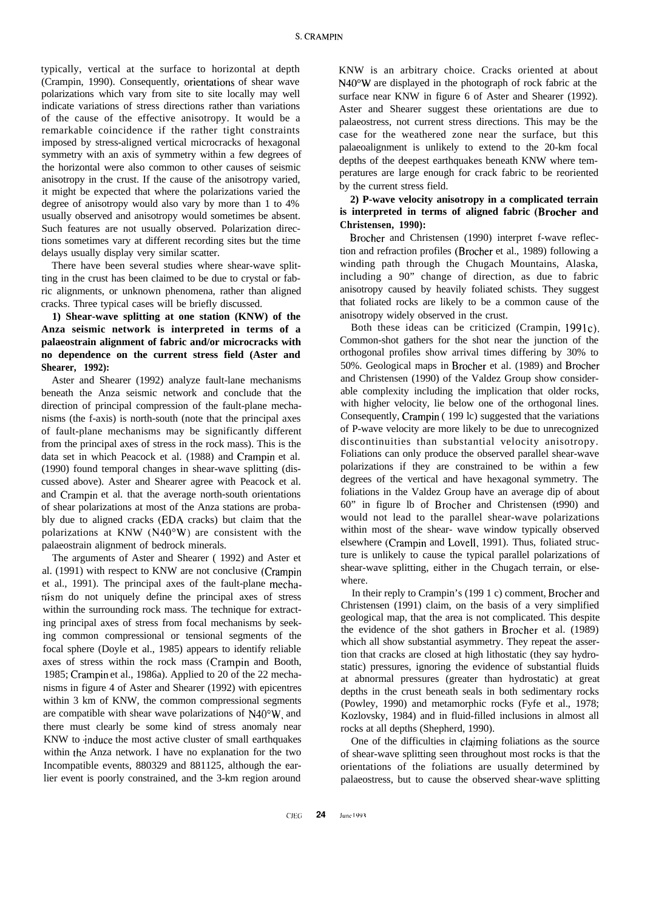typically, vertical at the surface to horizontal at depth (Crampin, 1990). Consequently, orientations of shear wave polarizations which vary from site to site locally may well indicate variations of stress directions rather than variations of the cause of the effective anisotropy. It would be a remarkable coincidence if the rather tight constraints imposed by stress-aligned vertical microcracks of hexagonal symmetry with an axis of symmetry within a few degrees of the horizontal were also common to other causes of seismic anisotropy in the crust. If the cause of the anisotropy varied, it might be expected that where the polarizations varied the degree of anisotropy would also vary by more than 1 to 4% usually observed and anisotropy would sometimes be absent. Such features are not usually observed. Polarization directions sometimes vary at different recording sites but the time delays usually display very similar scatter.

There have been several studies where shear-wave splitting in the crust has been claimed to be due to crystal or fabric alignments, or unknown phenomena, rather than aligned cracks. Three typical cases will be briefly discussed.

# **1) Shear-wave splitting at one station (KNW) of the Anza seismic network is interpreted in terms of a palaeostrain alignment of fabric and/or microcracks with no dependence on the current stress field (Aster and Shearer, 1992):**

Aster and Shearer (1992) analyze fault-lane mechanisms beneath the Anza seismic network and conclude that the direction of principal compression of the fault-plane mechanisms (the f-axis) is north-south (note that the principal axes of fault-plane mechanisms may be significantly different from the principal axes of stress in the rock mass). This is the data set in which Peacock et al. (1988) and Crampin et al. (1990) found temporal changes in shear-wave splitting (discussed above). Aster and Shearer agree with Peacock et al. and Crampin et al. that the average north-south orientations of shear polarizations at most of the Anza stations are probably due to aligned cracks (EDA cracks) but claim that the polarizations at KNW (N40"W) are consistent with the palaeostrain alignment of bedrock minerals.

The arguments of Aster and Shearer ( 1992) and Aster et al. (1991) with respect to KNW are not conclusive (Crampin et al., 1991). The principal axes of the fault-plane mechariism do not uniquely define the principal axes of stress within the surrounding rock mass. The technique for extracting principal axes of stress from focal mechanisms by seeking common compressional or tensional segments of the focal sphere (Doyle et al., 1985) appears to identify reliable axes of stress within the rock mass (Crampin and Booth, 1985; Crampin et al., 1986a). Applied to 20 of the 22 mechanisms in figure 4 of Aster and Shearer (1992) with epicentres within 3 km of KNW, the common compressional segments are compatible with shear wave polarizations of N40°W, and there must clearly be some kind of stress anomaly near KNW to induce the most active cluster of small earthquakes within the Anza network. I have no explanation for the two Incompatible events, 880329 and 881125, although the earlier event is poorly constrained, and the 3-km region around

KNW is an arbitrary choice. Cracks oriented at about N40"W are displayed in the photograph of rock fabric at the surface near KNW in figure 6 of Aster and Shearer (1992). Aster and Shearer suggest these orientations are due to palaeostress, not current stress directions. This may be the case for the weathered zone near the surface, but this palaeoalignment is unlikely to extend to the 20-km focal depths of the deepest earthquakes beneath KNW where temperatures are large enough for crack fabric to be reoriented by the current stress field.

## **2) P-wave velocity anisotropy in a complicated terrain is interpreted in terms of aligned fabric (Brother and Christensen, 1990):**

Brother and Christensen (1990) interpret f-wave reflection and refraction profiles (Brocher et al., 1989) following a winding path through the Chugach Mountains, Alaska, including a 90" change of direction, as due to fabric anisotropy caused by heavily foliated schists. They suggest that foliated rocks are likely to be a common cause of the anisotropy widely observed in the crust.

Both these ideas can be criticized (Crampin,  $1991c$ ). Common-shot gathers for the shot near the junction of the orthogonal profiles show arrival times differing by 30% to 50%. Geological maps in Brother et al. (1989) and Brother and Christensen (1990) of the Valdez Group show considerable complexity including the implication that older rocks, with higher velocity, lie below one of the orthogonal lines. Consequently, Crampin ( 199 lc) suggested that the variations of P-wave velocity are more likely to be due to unrecognized discontinuities than substantial velocity anisotropy. Foliations can only produce the observed parallel shear-wave polarizations if they are constrained to be within a few degrees of the vertical and have hexagonal symmetry. The foliations in the Valdez Group have an average dip of about 60" in figure lb of Brother and Christensen (t990) and would not lead to the parallel shear-wave polarizations within most of the shear- wave window typically observed elsewhere (Crampin and Lovell, 1991). Thus, foliated structure is unlikely to cause the typical parallel polarizations of shear-wave splitting, either in the Chugach terrain, or elsewhere.

In their reply to Crampin's (199 1 c) comment, Brocher and Christensen (1991) claim, on the basis of a very simplified geological map, that the area is not complicated. This despite the evidence of the shot gathers in Brocher et al. (1989) which all show substantial asymmetry. They repeat the assertion that cracks are closed at high lithostatic (they say hydrostatic) pressures, ignoring the evidence of substantial fluids at abnormal pressures (greater than hydrostatic) at great depths in the crust beneath seals in both sedimentary rocks (Powley, 1990) and metamorphic rocks (Fyfe et al., 1978; Kozlovsky, 1984) and in fluid-filled inclusions in almost all rocks at all depths (Shepherd, 1990).

One of the difficulties in claiming foliations as the source of shear-wave splitting seen throughout most rocks is that the orientations of the foliations are usually determined by palaeostress, but to cause the observed shear-wave splitting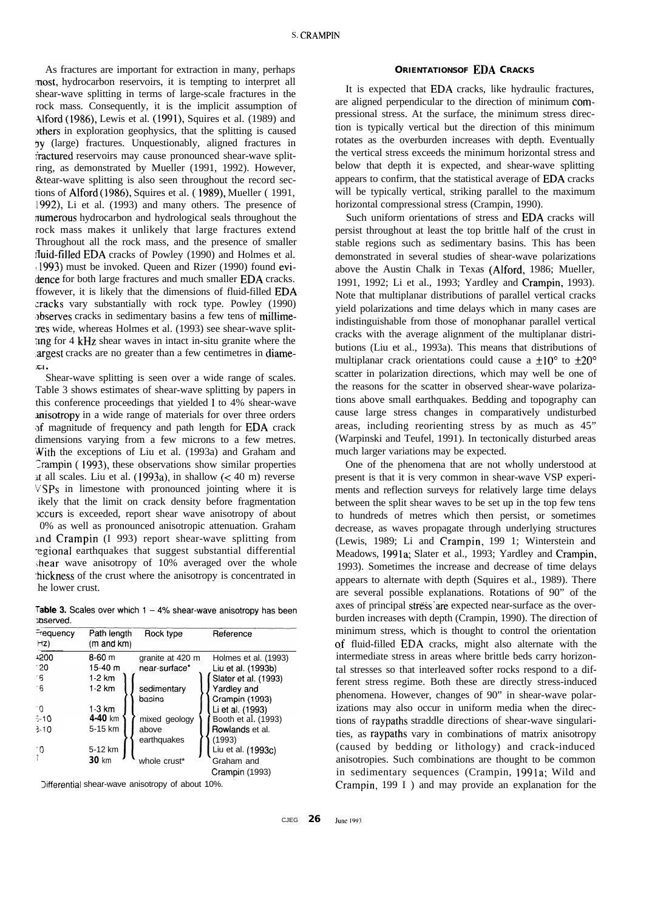As fractures are important for extraction in many, perhaps most, hydrocarbon reservoirs, it is tempting to interpret all shear-wave splitting in terms of large-scale fractures in the rock mass. Consequently, it is the implicit assumption of Alford (1986), Lewis et al. (1991), Squires et al. (1989) and ithers in exploration geophysics, that the splitting is caused by (large) fractures. Unquestionably, aligned fractures in tractured reservoirs may cause pronounced shear-wave splitring, as demonstrated by Mueller (1991, 1992). However, &tear-wave splitting is also seen throughout the record sections of Alford (1986), Squires et al. ( 1989), Mueller ( 1991, 1992), Li et al. (1993) and many others. The presence of numerous hydrocarbon and hydrological seals throughout the rock mass makes it unlikely that large fractures extend Throughout all the rock mass, and the presence of smaller rluid-filled EDA cracks of Powley (1990) and Holmes et al. 11993) must be invoked. Queen and Rizer (1990) found evidence for both large fractures and much smaller EDA cracks. ffowever, it is likely that the dimensions of fluid-filled EDA zracks vary substantially with rock type. Powley (1990) betwes cracks in sedimentary basins a few tens of millimeres wide, whereas Holmes et al. (1993) see shear-wave split-:rng for 4 kHz shear waves in intact in-situ granite where the .argest cracks are no greater than a few centimetres in diame-IE;l .

Shear-wave splitting is seen over a wide range of scales. Table 3 shows estimates of shear-wave splitting by papers in this conference proceedings that yielded 1 to 4% shear-wave misotropy in a wide range of materials for over three orders of magnitude of frequency and path length for EDA crack dimensions varying from a few microns to a few metres. With the exceptions of Liu et al. (1993a) and Graham and Zrampin ( 1993), these observations show similar properties It all scales. Liu et al.  $(1993a)$ , in shallow  $( $40 \text{ m}$ )$  reverse VSPs in limestone with pronounced jointing where it is ikely that the limit on crack density before fragmentation occurs is exceeded, report shear wave anisotropy of about 0% as well as pronounced anisotropic attenuation. Graham knd Crampin (I 993) report shear-wave splitting from -egional earthquakes that suggest substantial differential  $s$ hear wave anisotropy of  $10\%$  averaged over the whole -hickness of the crust where the anisotropy is concentrated in he lower crust.

Table 3. Scales over which  $1 - 4%$  shear-wave anisotropy has been poserved.

| <b>Frequency</b><br>Hz) | Path length<br>$(m$ and $km)$ | Rock type        | Reference            |
|-------------------------|-------------------------------|------------------|----------------------|
| <b>1200</b>             | $8-60$ m                      | granite at 420 m | Holmes et al. (1993) |
| - 20                    | 15-40 $m$                     | near-surface*    | Liu et al. (1993b)   |
| 16                      | $1-2$ km                      |                  | Slater et al. (1993) |
| $-6$                    | $1-2$ km                      | sedimentary      | Yardley and          |
|                         |                               | basins           | Crampin (1993)       |
| - 0                     | $1-3$ km                      |                  | Li et al. (1993)     |
| $-10$                   | $4 - 40$ km                   | mixed geology    | Booth et al. (1993)  |
| $3 - 10$                | 5-15 km                       | above            | Rowlands et al.      |
|                         |                               | earthquakes      | (1993)               |
| - 0                     | 5-12 km                       |                  | Liu et al. (1993c)   |
|                         | $30 \;$ km                    | whole crust*     | Graham and           |
|                         |                               |                  | Crampin (1993)       |

Differential shear-wave anisotropy of about 10%.

## **ORIENTATIONSOF** EDA **CRACKS**

It is expected that EDA cracks, like hydraulic fractures, are aligned perpendicular to the direction of minimum compressional stress. At the surface, the minimum stress direction is typically vertical but the direction of this minimum rotates as the overburden increases with depth. Eventually the vertical stress exceeds the minimum horizontal stress and below that depth it is expected, and shear-wave splitting appears to confirm, that the statistical average of EDA cracks will be typically vertical, striking parallel to the maximum horizontal compressional stress (Crampin, 1990).

Such uniform orientations of stress and EDA cracks will persist throughout at least the top brittle half of the crust in stable regions such as sedimentary basins. This has been demonstrated in several studies of shear-wave polarizations above the Austin Chalk in Texas (Alford, 1986; Mueller, 1991, 1992; Li et al., 1993; Yardley and Crampin, 1993). Note that multiplanar distributions of parallel vertical cracks yield polarizations and time delays which in many cases are indistinguishable from those of monophanar parallel vertical cracks with the average alignment of the multiplanar distributions (Liu et al., 1993a). This means that distributions of multiplanar crack orientations could cause a  $\pm 10^{\circ}$  to  $\pm 20^{\circ}$ scatter in polarization directions, which may well be one of the reasons for the scatter in observed shear-wave polarizations above small earthquakes. Bedding and topography can cause large stress changes in comparatively undisturbed areas, including reorienting stress by as much as 45" (Warpinski and Teufel, 1991). In tectonically disturbed areas much larger variations may be expected.

One of the phenomena that are not wholly understood at present is that it is very common in shear-wave VSP experiments and reflection surveys for relatively large time delays between the split shear waves to be set up in the top few tens to hundreds of metres which then persist, or sometimes decrease, as waves propagate through underlying structures (Lewis, 1989; Li and Crampin, 199 1; Winterstein and Meadows, 1991a; Slater et al., 1993; Yardley and Crampin, 1993). Sometimes the increase and decrease of time delays appears to alternate with depth (Squires et al., 1989). There are several possible explanations. Rotations of 90" of the axes of principal stress'are expected near-surface as the overburden increases with depth (Crampin, 1990). The direction of minimum stress, which is thought to control the orientation of fluid-filled EDA cracks, might also alternate with the intermediate stress in areas where brittle beds carry horizontal stresses so that interleaved softer rocks respond to a different stress regime. Both these are directly stress-induced phenomena. However, changes of 90" in shear-wave polarizations may also occur in uniform media when the directions of raypaths straddle directions of shear-wave singularities, as raypaths vary in combinations of matrix anisotropy (caused by bedding or lithology) and crack-induced anisotropies. Such combinations are thought to be common in sedimentary sequences (Crampin, 1991a; Wild and Crampin, 199 I ) and may provide an explanation for the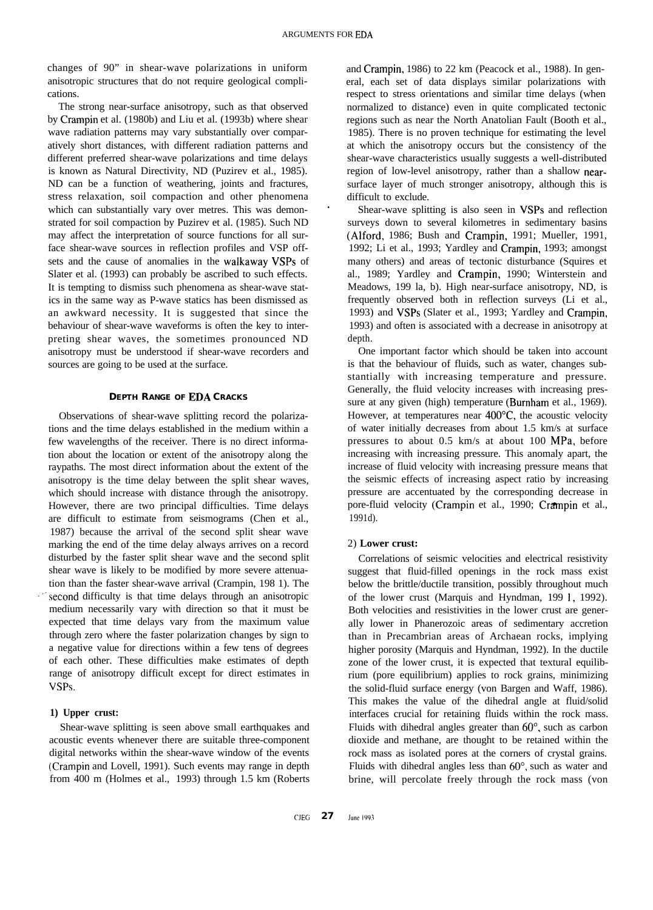changes of 90" in shear-wave polarizations in uniform anisotropic structures that do not require geological complications.

The strong near-surface anisotropy, such as that observed by Crampin et al. (1980b) and Liu et al. (1993b) where shear wave radiation patterns may vary substantially over comparatively short distances, with different radiation patterns and different preferred shear-wave polarizations and time delays is known as Natural Directivity, ND (Puzirev et al., 1985). ND can be a function of weathering, joints and fractures, stress relaxation, soil compaction and other phenomena which can substantially vary over metres. This was demonstrated for soil compaction by Puzirev et al. (1985). Such ND may affect the interpretation of source functions for all surface shear-wave sources in reflection profiles and VSP offsets and the cause of anomalies in the walkaway VSPs of Slater et al. (1993) can probably be ascribed to such effects. It is tempting to dismiss such phenomena as shear-wave statics in the same way as P-wave statics has been dismissed as an awkward necessity. It is suggested that since the behaviour of shear-wave waveforms is often the key to interpreting shear waves, the sometimes pronounced ND anisotropy must be understood if shear-wave recorders and sources are going to be used at the surface.

### **DEPTH RANGE OF EDA CRACKS**

Observations of shear-wave splitting record the polarizations and the time delays established in the medium within a few wavelengths of the receiver. There is no direct information about the location or extent of the anisotropy along the raypaths. The most direct information about the extent of the anisotropy is the time delay between the split shear waves, which should increase with distance through the anisotropy. However, there are two principal difficulties. Time delays are difficult to estimate from seismograms (Chen et al., 1987) because the arrival of the second split shear wave marking the end of the time delay always arrives on a record disturbed by the faster split shear wave and the second split shear wave is likely to be modified by more severe attenuation than the faster shear-wave arrival (Crampin, 198 1). The second difficulty is that time delays through an anisotropic medium necessarily vary with direction so that it must be expected that time delays vary from the maximum value through zero where the faster polarization changes by sign to a negative value for directions within a few tens of degrees of each other. These difficulties make estimates of depth range of anisotropy difficult except for direct estimates in VSPS.

#### **1) Upper crust:**

Shear-wave splitting is seen above small earthquakes and acoustic events whenever there are suitable three-component digital networks within the shear-wave window of the events (Crampin and Lovell, 1991). Such events may range in depth from 400 m (Holmes et al., 1993) through 1.5 km (Roberts and Crampin, 1986) to 22 km (Peacock et al., 1988). In general, each set of data displays similar polarizations with respect to stress orientations and similar time delays (when normalized to distance) even in quite complicated tectonic regions such as near the North Anatolian Fault (Booth et al., 1985). There is no proven technique for estimating the level at which the anisotropy occurs but the consistency of the shear-wave characteristics usually suggests a well-distributed region of low-level anisotropy, rather than a shallow nearsurface layer of much stronger anisotropy, although this is difficult to exclude.

Shear-wave splitting is also seen in VSPs and reflection surveys down to several kilometres in sedimentary basins (Alford, 1986; Bush and Crampin, 1991; Mueller, 1991, 1992; Li et al., 1993; Yardley and Crampin, 1993; amongst many others) and areas of tectonic disturbance (Squires et al., 1989; Yardley and Crampin, 1990; Winterstein and Meadows, 199 la, b). High near-surface anisotropy, ND, is frequently observed both in reflection surveys (Li et al., 1993) and VSPs (Slater et al., 1993; Yardley and Crampin, 1993) and often is associated with a decrease in anisotropy at depth.

One important factor which should be taken into account is that the behaviour of fluids, such as water, changes substantially with increasing temperature and pressure. Generally, the fluid velocity increases with increasing pressure at any given (high) temperature (Burnham et al., 1969). However, at temperatures near 400°C, the acoustic velocity of water initially decreases from about 1.5 km/s at surface pressures to about 0.5 km/s at about 100 MPa, before increasing with increasing pressure. This anomaly apart, the increase of fluid velocity with increasing pressure means that the seismic effects of increasing aspect ratio by increasing pressure are accentuated by the corresponding decrease in pore-fluid velocity (Crampin et al., 1990; Crampin et al., 1991d).

### 2) **Lower crust:**

Correlations of seismic velocities and electrical resistivity suggest that fluid-filled openings in the rock mass exist below the brittle/ductile transition, possibly throughout much of the lower crust (Marquis and Hyndman, 199 I, 1992). Both velocities and resistivities in the lower crust are generally lower in Phanerozoic areas of sedimentary accretion than in Precambrian areas of Archaean rocks, implying higher porosity (Marquis and Hyndman, 1992). In the ductile zone of the lower crust, it is expected that textural equilibrium (pore equilibrium) applies to rock grains, minimizing the solid-fluid surface energy (von Bargen and Waff, 1986). This makes the value of the dihedral angle at fluid/solid interfaces crucial for retaining fluids within the rock mass. Fluids with dihedral angles greater than 60°, such as carbon dioxide and methane, are thought to be retained within the rock mass as isolated pores at the corners of crystal grains. Fluids with dihedral angles less than 60°, such as water and brine, will percolate freely through the rock mass (von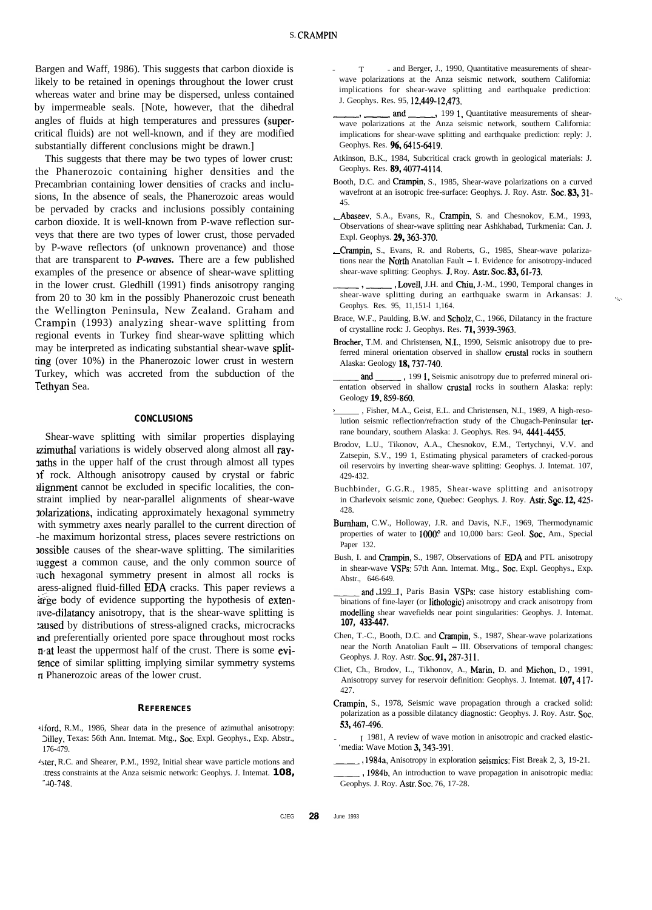Bargen and Waff, 1986). This suggests that carbon dioxide is likely to be retained in openings throughout the lower crust whereas water and brine may be dispersed, unless contained by impermeable seals. [Note, however, that the dihedral angles of fluids at high temperatures and pressures (supercritical fluids) are not well-known, and if they are modified substantially different conclusions might be drawn.]

This suggests that there may be two types of lower crust: the Phanerozoic containing higher densities and the Precambrian containing lower densities of cracks and inclusions, In the absence of seals, the Phanerozoic areas would be pervaded by cracks and inclusions possibly containing carbon dioxide. It is well-known from P-wave reflection surveys that there are two types of lower crust, those pervaded by P-wave reflectors (of unknown provenance) and those that are transparent to *P-waves.* There are a few published examples of the presence or absence of shear-wave splitting in the lower crust. Gledhill (1991) finds anisotropy ranging from 20 to 30 km in the possibly Phanerozoic crust beneath the Wellington Peninsula, New Zealand. Graham and Crampin (1993) analyzing shear-wave splitting from regional events in Turkey find shear-wave splitting which may be interpreted as indicating substantial shear-wave splitring (over 10%) in the Phanerozoic lower crust in western Turkey, which was accreted from the subduction of the Tethyan Sea.

#### **CONCLUSIONS**

Shear-wave splitting with similar properties displaying zimuthal variations is widely observed along almost all rayraths in the upper half of the crust through almost all types ,f rock. Although anisotropy caused by crystal or fabric alignment cannot be excluded in specific localities, the constraint implied by near-parallel alignments of shear-wave 3-olarizations, indicating approximately hexagonal symmetry with symmetry axes nearly parallel to the current direction of -he maximum horizontal stress, places severe restrictions on lossible causes of the shear-wave splitting. The similarities suggest a common cause, and the only common source of ;uch hexagonal symmetry present in almost all rocks is aress-aligned fluid-filled EDA cracks. This paper reviews a arge body of evidence supporting the hypothesis of extenave-dilatancy anisotropy, that is the shear-wave splitting is xused by distributions of stress-aligned cracks, microcracks md preferentially oriented pore space throughout most rocks n-at least the uppermost half of the crust. There is some evifence of similar splitting implying similar symmetry systems II Phanerozoic areas of the lower crust.

#### **REFERENCES**

- hiford, R.M., 1986, Shear data in the presence of azimuthal anisotropy: Silley, Texas: 56th Ann. Intemat. Mtg., Sot. Expl. Geophys., Exp. Abstr., 176-479.
- 'ster, R.C. and Shearer, P.M., 1992, Initial shear wave particle motions and ,Tress constraints at the Anza seismic network: Geophys. J. Intemat. **108,**  $-40-748.$
- T and Berger, J., 1990, Quantitative measurements of shearwave polarizations at the Anza seismic network, southern California: implications for shear-wave splitting and earthquake prediction: J. Geophys. Res. 95, 12,449-12,473. T - and Berger, J., 1990, Quantitative measurements of shear-<br>wave polarizations at the Anza seismic network, southern California:<br>implications for shear-wave splitting and earthquake prediction:<br>J. Geophys. Res. 95, 12,44
- implications for shear-wave splitting and earthquake prediction: reply: J. Geophys. Res. 96, 6415-6419.
- Atkinson, B.K., 1984, Subcritical crack growth in geological materials: J. Geophys. Res. 89,4077-4114.
- Booth, D.C. and Crampin, S., 1985, Shear-wave polarizations on a curved wavefront at an isotropic free-surface: Geophys. J. Roy. Astr. Soc. 83, 31-45.
- , Abaseev, S.A., Evans, R., Crampin, S. and Chesnokov, E.M., 1993, Observations of shear-wave splitting near Ashkhabad, Turkmenia: Can. J. Expl. Geophys. 29,363-370.
- , Crampin, S., Evans, R. and Roberts, G., 1985, Shear-wave polarizations near the **North** Anatolian Fault  $- I$ . Evidence for anisotropy-induced shear-wave splitting: Geophys. J. Roy. Astr. Soc. 83, 61-73.
- . Lovell, J.H. and Chiu, J.-M., 1990, Temporal changes in shear-wave splitting during an earthquake swarm in Arkansas: J. Geophys. Res. 95, 11,151-l 1,164.

۸Ü

- Brace, W.F., Paulding, B.W. and Scholz, C., 1966, Dilatancy in the fracture of crystalline rock: J. Geophys. Res. 71,3939-3963.
- Brocher, T.M. and Christensen, N.I., 1990, Seismic anisotropy due to preferred mineral orientation observed in shallow crustal rocks in southern Alaska: Geology 18,737-740.
- and 1991, Seismic anisotropy due to preferred mineral orientation observed in shallow crustal rocks in southern Alaska: reply: Geology 19,859-860.
- , Fisher, M.A., Geist, E.L. and Christensen, N.I., 1989, A high-resolution seismic reflection/refraction study of the Chugach-Peninsular terrane boundary, southern Alaska: J. Geophys. Res. 94, 4441-4455.
- Brodov, L.U., Tikonov, A.A., Chesnokov, E.M., Tertychnyi, V.V. and Zatsepin, S.V., 199 1, Estimating physical parameters of cracked-porous oil reservoirs by inverting shear-wave splitting: Geophys. J. Intemat. 107, 429-432.
- Buchbinder, G.G.R., 1985, Shear-wave splitting and anisotropy in Charlevoix seismic zone, Quebec: Geophys. J. Roy. Astr. Soc. 12, 425-428.
- Bumham, C.W., Holloway, J.R. and Davis, N.F., 1969, Thermodynamic properties of water to 1000° and 10,000 bars: Geol. Soc. Am., Special Paper 132.
- Bush, I. and Crampin, S., 1987, Observations of EDA and PTL anisotropy in shear-wave VSPs: 57th Ann. Intemat. Mtg., Soc. Expl. Geophys., Exp. Abstr., 646-649.
- and 1991, Paris Basin VSPs: case history establishing combinations of fine-layer (or lithotogic) anisotropy and crack anisotropy from modelling shear wavefields near point singularities: Geophys. J. Intemat. **107, 433-447.**
- Chen, T.-C., Booth, D.C. and Crampin, S., 1987, Shear-wave polarizations near the North Anatolian Fault - III. Observations of temporal changes: Geophys. J. Roy. Astr. Soc. 91, 287-311.
- Cliet, Ch., Brodov, L., Tikhonov, A., Marin, D. and Michon, D., 1991, Anisotropy survey for reservoir definition: Geophys. J. Intemat. 107, 417-427.
- Crampin, S., 1978, Seismic wave propagation through a cracked solid: polarization as a possible dilatancy diagnostic: Geophys. J. Roy. Astr. Soc. 53,467-496.
- I 1981, A review of wave motion in anisotropic and cracked elastic-'media: Wave Motion 3, 343-391.
- 1984a, Anisotropy in exploration seismics: Fist Break 2, 3, 19-21.
- 1984b, An introduction to wave propagation in anisotropic media: Geophys. J. Roy. Astr. Soc. 76, 17-28.

CJEG **28** June 1993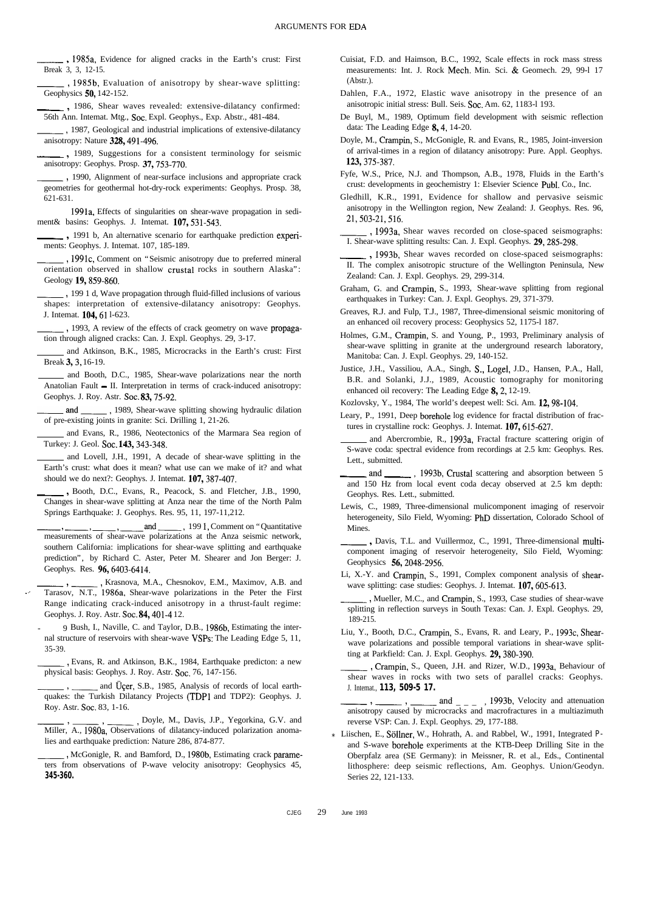\_\_\_ <sup>3</sup> 1985a, Evidence for aligned cracks in the Earth's crust: First Break 3, 3, 12-15.

., 1985b, Evaluation of anisotropy by shear-wave splitting: Geophysics 50, 142-152.

- \_\_\_ <sup>7</sup> 1986, Shear waves revealed: extensive-dilatancy confirmed:
- 56th Ann. Intemat. Mtg., Soc. Expl. Geophys., Exp. Abstr., 481-484.<br>
1987, Geological and industrial implications of extensive-dilatancy<br>
nisotrony Nature 222, 401, 406 anisotropy: Nature 328,491-496. -, 1987, Geological and industrial implications of extensive-dilatancy<br>outropy: Nature 328, 491-496.<br>-, 1989, Suggestions for a consistent terminology for seismic
- anisotropy: Geophys. Prosp. 37,753-770.
- misotropy: Nature 328, 491-496.<br>
1989, Suggestions for a consistent terminology for seismic<br>
anisotropy: Geophys. Prosp. 37, 753-770.<br>
1990, Alignment of near-surface inclusions and appropriate crack<br>
geometries for geothe 621-631.
- 1991a, Effects of singularities on shear-wave propagation in sediment& basins: Geophys. J. Intemat. 107,531-543.
- ~3 1991 b, An alternative scenario for earthquake prediction experiments: Geophys. J. Intemat. 107, 185-189.
- , 1991c, Comment on "Seismic anisotropy due to preferred mineral orientation observed in shallow crustal rocks in southern Alaska": Geology 19,859-860.
- -, 1991 d, Wave propagation through fluid-filled inclusions of various shapes: interpretation of extensive-dilatancy anisotropy: Geophys. J. Intemat. 104,61 l-623.
- , 1993, A review of the effects of crack geometry on wave propagation through aligned cracks: Can. J. Expl. Geophys. 29, 3-17.
- and Atkinson, B.K., 1985, Microcracks in the Earth's crust: First Break 3, 3, 16-19.
- and Booth, D.C., 1985, Shear-wave polarizations near the north Anatolian Fault - II. Interpretation in terms of crack-induced anisotropy: -ad-,1989, Shear-wave splitting showing hydraulic dilation Geophys. J. Roy. Astr. Soc. 83, 75-92.
- of pre-existing joints in granite: Sci. Drilling 1, 21-26.
- and Evans, R., 1986, Neotectonics of the Marmara Sea region of Turkey: J. Geol. Soc. 143, 343-348.
- and Lovell, J.H., 1991, A decade of shear-wave splitting in the Earth's crust: what does it mean? what use can we make of it? and what should we do next?: Geophys. J. Internat. **107**, 387-407.<br> **FRANCE SECUTE:** Geophys. J. Internat. **107**, 387-407.<br> **FRANCE SECUTE:** FRANCE SECUTE: **PRA** should we do next?: Geophys. J. Intemat. 107, 387-407.
- Changes in shear-wave splitting at Anza near the time of the North Palm Springs Earthquake: J. Geophys. Res. 95, 11, 197-11,212. Frames in shear-wave splitting at Anza near the time of the North Palm<br>Springs Earthquake: J. Geophys. Res. 95, 11, 197-11,212.<br>
The Morth Palm<br>
Springs Earthquake: J. Geophys. Res. 95, 11, 197-11,212.<br>
The Morth on "Quant
- southern California: implications for shear-wave splitting and earthquake prediction", by Richard C. Aster, Peter M. Shearer and Jon Berger: J. Geophys. Res. 96,6403-6414.
- prediction", by Richard C. Aster, Peter M. Shearer and Jon Berger: J.<br>
Geophys. Res. 96, 6403-6414.<br>
Frasnova, M.A., Chesnokov, E.M., Maximov, A.B. and<br>
Tarasov, N.T., 1986a, Shear-wave polarizations in the Peter the First Range indicating crack-induced anisotropy in a thrust-fault regime: Geophys. J. Roy. Astr. Soc. 84, 401-4 12.
	- 9 Bush, I., Naville, C. and Taylor, D.B., 1986b, Estimating the internal structure of reservoirs with shear-wave VSPs: The Leading Edge 5, 11,<br>as-39.<br>Fig. example, R. and Atkinson, B.K., 1984, Earthquake predicton: a new<br>physical basis: Geophys. J. Roy. Astr. Soc. 76, 147-156. 35-39.
	- physical basis: Geophys. J. Roy. Astr. Soc. 76, 147-156. , Evans, R. and Atkinson, B.K., 1984, Earthquake predicton: a new<br>al basis: Geophys. J. Roy. Astr. Soc. 76, 147-156.<br>, \_\_\_\_\_\_\_ and Üçer, S.B., 1985, Analysis of records of local earth-
	- quakes: the Turkish Dilatancy Projects (TDPl and TDP2): Geophys. J. Roy. Astr. Soc. 83, 1-16. order, M., Disconsity, M., Davis, M., Develophys. J.<br>
	Roy. Astr. Soc. 83, 1-16.<br>
	The property of M., Davis, J.P., Yegorkina, G.V. and<br>
	Miller, A., 1980a, Observations of dilatancy-induced polarization anoma-
	- lies and earthquake prediction: Nature 286, 874-877.
	- , McGonigle, R. and Bamford, D., 1980b, Estimating crack parameters from observations of P-wave velocity anisotropy: Geophysics 45, **345-360.**
- Cuisiat, F.D. and Haimson, B.C., 1992, Scale effects in rock mass stress measurements: Int. J. Rock Mech. Min. Sci. & Geomech. 29, 99-l 17 (Abstr.).
- Dahlen, F.A., 1972, Elastic wave anisotropy in the presence of an anisotropic initial stress: Bull. Seis. Soc. Am. 62, 1183-1 193.
- De Buyl, M., 1989, Optimum field development with seismic reflection data: The Leading Edge 8,4, 14-20.
- Doyle, M., Crampin, S., McGonigle, R. and Evans, R., 1985, Joint-inversion of arrival-times in a region of dilatancy anisotropy: Pure. Appl. Geophys. **123,375-387.**
- Fyfe, W.S., Price, N.J. and Thompson, A.B., 1978, Fluids in the Earth's crust: developments in geochemistry 1: Elsevier Science Publ. Co., Inc.
- Gledhill, K.R., 1991, Evidence for shallow and pervasive seismic anisotropy in the Wellington region, New Zealand: J. Geophys. Res. 96, 21,503-21,516. anisotropy in the Wellington region, New Zealand: J. Geophys. Res. 96,<br>21, 503-21, 516.<br> $\frac{1993a}{1 \text{ Shear wave}}$ , 1993a, Shear waves recorded on close-spaced seismographs:
- I. Shear-wave splitting results: Can. J. Expl. Geophys. 29,285-298. 1993a, Shear waves recorded on close-spaced seismographs:<br>
1. Shear-wave splitting results: Can. J. Expl. Geophys. **29**, 285-298.<br>
1993b, Shear waves recorded on close-spaced seismographs:<br>
1. The complex anisotropic struc
- II. The complex anisotropic structure of the Wellington Peninsula, New Zealand: Can. J. Expl. Geophys. 29, 299-314.
- Graham, G. and Crampin, S., 1993, Shear-wave splitting from regional earthquakes in Turkey: Can. J. Expl. Geophys. 29, 371-379.
- Greaves, R.J. and Fulp, T.J., 1987, Three-dimensional seismic monitoring of an enhanced oil recovery process: Geophysics 52, 1175-l 187.
- Holmes, G.M., Crampin, S. and Young, P., 1993, Preliminary analysis of shear-wave splitting in granite at the underground research laboratory, Manitoba: Can. J. Expl. Geophys. 29, 140-152.
- Justice, J.H., Vassiliou, A.A., Singh, S., Logel, J.D., Hansen, P.A., Hall, B.R. and Solanki, J.J., 1989, Acoustic tomography for monitoring enhanced oil recovery: The Leading Edge 8, 2, 12-19.
- Kozlovsky, Y., 1984, The world's deepest well: Sci. Am. 12,98-104.
- Leary, P., 1991, Deep borehole log evidence for fractal distribution of fractures in crystalline rock: Geophys. J. Intemat. 107, 615-627.
- and Abercrombie, R., 1993a, Fractal fracture scattering origin of S-wave coda: spectral evidence from recordings at 2.5 km: Geophys. Res.<br>
Lett., submitted.<br>
and , 1993b, Crustal scattering and absorption between 5<br>
and 150 Hz from local event coda decay observed at 2.5 km denth: Lett., submitted.
- and 150 Hz from local event coda decay observed at 2.5 km depth: Geophys. Res. Lett., submitted.
- Lewis, C., 1989, Three-dimensional mulicomponent imaging of reservoir heterogeneity, Silo Field, Wyoming: PhD dissertation, Colorado School of Mines.
- ~9 Davis, T.L. and Vuillermoz, C., 1991, Three-dimensional multicomponent imaging of reservoir heterogeneity, Silo Field, Wyoming: Geophysics 56,2048-2956.
- Li, X.-Y. and Crampin, S., 1991, Complex component analysis of shearwave splitting: case studies: Geophys. J. Intemat. 107, 605-613.
- , Mueller, M.C., and Crampin, S., 1993, Case studies of shear-wave splitting in reflection surveys in South Texas: Can. J. Expl. Geophys. 29, 189-215.
- Liu, Y., Booth, D.C., Crampin, S., Evans, R. and Leary, P., 1993c, Shearwave polarizations and possible temporal variations in shear-wave splitting at Parkfield: Can. J. Expl. Geophys. 29,380-390.
- , Crampin, S., Queen, J.H. and Rizer, W.D., 1993a, Behaviour of S., Queen, J.H. and Rizer, W.D., 1993a, Behaviour of<br>
shear waves in rocks with two sets of parallel cracks: Geophys.<br>
J. Intemat, **113, 509-5 17.**<br>
and  $\frac{1}{2}$ , 1993b, Velocity and attenuation<br>
anisotropy caused by micr J. Intemat., **113, 509-5 17.**
- anisotropy caused by microcracks and macrofractures in a multiazimuth reverse VSP: Can. J. Expl. Geophys. 29, 177-188.
- *\** Liischen, E., Sollner, W., Hohrath, A. and Rabbel, W., 1991, Integrated *P*and S-wave borehole experiments at the KTB-Deep Drilling Site in the Oberpfalz area (SE Germany): *in* Meissner, R. et al., Eds., Continental lithosphere: deep seismic reflections, Am. Geophys. Union/Geodyn. Series 22, 121-133.